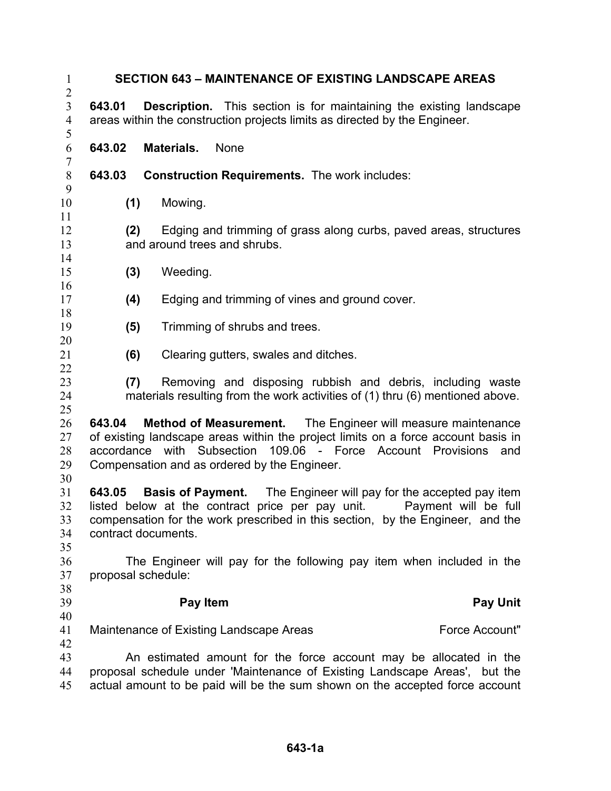| <b>SECTION 643 - MAINTENANCE OF EXISTING LANDSCAPE AREAS</b><br>$\mathbf{1}$<br>$\overline{2}$                                                                                                                                                          |                                       |                                                                                                                                                                                                                                                                                                                                                                                                                                                                                                                                                                                                                                                                                                                                                                                                                                                                                                                                                                                                                                                                                         |
|---------------------------------------------------------------------------------------------------------------------------------------------------------------------------------------------------------------------------------------------------------|---------------------------------------|-----------------------------------------------------------------------------------------------------------------------------------------------------------------------------------------------------------------------------------------------------------------------------------------------------------------------------------------------------------------------------------------------------------------------------------------------------------------------------------------------------------------------------------------------------------------------------------------------------------------------------------------------------------------------------------------------------------------------------------------------------------------------------------------------------------------------------------------------------------------------------------------------------------------------------------------------------------------------------------------------------------------------------------------------------------------------------------------|
| 643.01                                                                                                                                                                                                                                                  |                                       |                                                                                                                                                                                                                                                                                                                                                                                                                                                                                                                                                                                                                                                                                                                                                                                                                                                                                                                                                                                                                                                                                         |
| 643.02                                                                                                                                                                                                                                                  | <b>None</b>                           |                                                                                                                                                                                                                                                                                                                                                                                                                                                                                                                                                                                                                                                                                                                                                                                                                                                                                                                                                                                                                                                                                         |
| 643.03                                                                                                                                                                                                                                                  |                                       |                                                                                                                                                                                                                                                                                                                                                                                                                                                                                                                                                                                                                                                                                                                                                                                                                                                                                                                                                                                                                                                                                         |
| (1)                                                                                                                                                                                                                                                     | Mowing.                               |                                                                                                                                                                                                                                                                                                                                                                                                                                                                                                                                                                                                                                                                                                                                                                                                                                                                                                                                                                                                                                                                                         |
| 11<br>12<br>Edging and trimming of grass along curbs, paved areas, structures<br>(2)<br>and around trees and shrubs.<br>13<br>14                                                                                                                        |                                       |                                                                                                                                                                                                                                                                                                                                                                                                                                                                                                                                                                                                                                                                                                                                                                                                                                                                                                                                                                                                                                                                                         |
| (3)                                                                                                                                                                                                                                                     | Weeding.                              |                                                                                                                                                                                                                                                                                                                                                                                                                                                                                                                                                                                                                                                                                                                                                                                                                                                                                                                                                                                                                                                                                         |
| (4)                                                                                                                                                                                                                                                     |                                       |                                                                                                                                                                                                                                                                                                                                                                                                                                                                                                                                                                                                                                                                                                                                                                                                                                                                                                                                                                                                                                                                                         |
| (5)                                                                                                                                                                                                                                                     | Trimming of shrubs and trees.         |                                                                                                                                                                                                                                                                                                                                                                                                                                                                                                                                                                                                                                                                                                                                                                                                                                                                                                                                                                                                                                                                                         |
| (6)                                                                                                                                                                                                                                                     | Clearing gutters, swales and ditches. |                                                                                                                                                                                                                                                                                                                                                                                                                                                                                                                                                                                                                                                                                                                                                                                                                                                                                                                                                                                                                                                                                         |
| (7)                                                                                                                                                                                                                                                     |                                       |                                                                                                                                                                                                                                                                                                                                                                                                                                                                                                                                                                                                                                                                                                                                                                                                                                                                                                                                                                                                                                                                                         |
| 643.04                                                                                                                                                                                                                                                  |                                       | and                                                                                                                                                                                                                                                                                                                                                                                                                                                                                                                                                                                                                                                                                                                                                                                                                                                                                                                                                                                                                                                                                     |
| 643.05                                                                                                                                                                                                                                                  |                                       | Payment will be full                                                                                                                                                                                                                                                                                                                                                                                                                                                                                                                                                                                                                                                                                                                                                                                                                                                                                                                                                                                                                                                                    |
|                                                                                                                                                                                                                                                         |                                       |                                                                                                                                                                                                                                                                                                                                                                                                                                                                                                                                                                                                                                                                                                                                                                                                                                                                                                                                                                                                                                                                                         |
|                                                                                                                                                                                                                                                         | Pay Item                              | <b>Pay Unit</b>                                                                                                                                                                                                                                                                                                                                                                                                                                                                                                                                                                                                                                                                                                                                                                                                                                                                                                                                                                                                                                                                         |
|                                                                                                                                                                                                                                                         |                                       | Force Account"                                                                                                                                                                                                                                                                                                                                                                                                                                                                                                                                                                                                                                                                                                                                                                                                                                                                                                                                                                                                                                                                          |
| 42<br>43<br>An estimated amount for the force account may be allocated in the<br>proposal schedule under 'Maintenance of Existing Landscape Areas', but the<br>44<br>actual amount to be paid will be the sum shown on the accepted force account<br>45 |                                       |                                                                                                                                                                                                                                                                                                                                                                                                                                                                                                                                                                                                                                                                                                                                                                                                                                                                                                                                                                                                                                                                                         |
|                                                                                                                                                                                                                                                         |                                       | <b>Description.</b> This section is for maintaining the existing landscape<br>areas within the construction projects limits as directed by the Engineer.<br>Materials.<br><b>Construction Requirements.</b> The work includes:<br>Edging and trimming of vines and ground cover.<br>Removing and disposing rubbish and debris, including waste<br>materials resulting from the work activities of (1) thru (6) mentioned above.<br>Method of Measurement. The Engineer will measure maintenance<br>of existing landscape areas within the project limits on a force account basis in<br>accordance with Subsection 109.06 - Force Account Provisions<br>Compensation and as ordered by the Engineer.<br><b>Basis of Payment.</b> The Engineer will pay for the accepted pay item<br>listed below at the contract price per pay unit.<br>compensation for the work prescribed in this section, by the Engineer, and the<br>contract documents.<br>The Engineer will pay for the following pay item when included in the<br>proposal schedule:<br>Maintenance of Existing Landscape Areas |